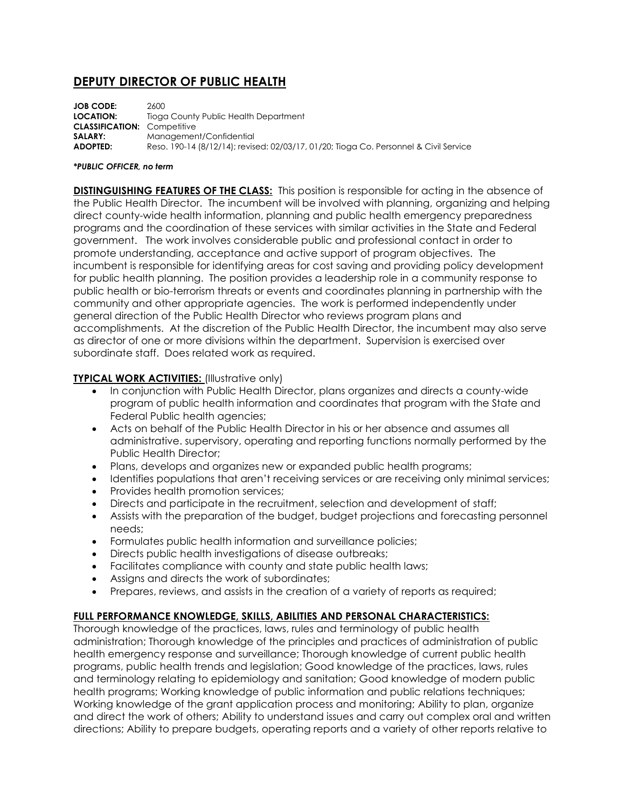# **DEPUTY DIRECTOR OF PUBLIC HEALTH**

**JOB CODE:** 2600 **LOCATION:** Tioga County Public Health Department **CLASSIFICATION:** Competitive **SALARY:** Management/Confidential **ADOPTED:** Reso. 190-14 (8/12/14); revised: 02/03/17, 01/20; Tioga Co. Personnel & Civil Service

#### *\*PUBLIC OFFICER, no term*

**DISTINGUISHING FEATURES OF THE CLASS:** This position is responsible for acting in the absence of the Public Health Director. The incumbent will be involved with planning, organizing and helping direct county-wide health information, planning and public health emergency preparedness programs and the coordination of these services with similar activities in the State and Federal government. The work involves considerable public and professional contact in order to promote understanding, acceptance and active support of program objectives. The incumbent is responsible for identifying areas for cost saving and providing policy development for public health planning. The position provides a leadership role in a community response to public health or bio-terrorism threats or events and coordinates planning in partnership with the community and other appropriate agencies. The work is performed independently under general direction of the Public Health Director who reviews program plans and accomplishments. At the discretion of the Public Health Director, the incumbent may also serve as director of one or more divisions within the department. Supervision is exercised over subordinate staff. Does related work as required.

### **TYPICAL WORK ACTIVITIES:** (Illustrative only)

- In conjunction with Public Health Director, plans organizes and directs a county-wide program of public health information and coordinates that program with the State and Federal Public health agencies;
- Acts on behalf of the Public Health Director in his or her absence and assumes all administrative. supervisory, operating and reporting functions normally performed by the Public Health Director;
- Plans, develops and organizes new or expanded public health programs;
- Identifies populations that aren't receiving services or are receiving only minimal services;
- Provides health promotion services;
- Directs and participate in the recruitment, selection and development of staff;
- Assists with the preparation of the budget, budget projections and forecasting personnel needs;
- Formulates public health information and surveillance policies;
- Directs public health investigations of disease outbreaks;
- Facilitates compliance with county and state public health laws;
- Assigns and directs the work of subordinates;
- Prepares, reviews, and assists in the creation of a variety of reports as required;

### **FULL PERFORMANCE KNOWLEDGE, SKILLS, ABILITIES AND PERSONAL CHARACTERISTICS:**

Thorough knowledge of the practices, laws, rules and terminology of public health administration; Thorough knowledge of the principles and practices of administration of public health emergency response and surveillance; Thorough knowledge of current public health programs, public health trends and legislation; Good knowledge of the practices, laws, rules and terminology relating to epidemiology and sanitation; Good knowledge of modern public health programs; Working knowledge of public information and public relations techniques; Working knowledge of the grant application process and monitoring; Ability to plan, organize and direct the work of others; Ability to understand issues and carry out complex oral and written directions; Ability to prepare budgets, operating reports and a variety of other reports relative to